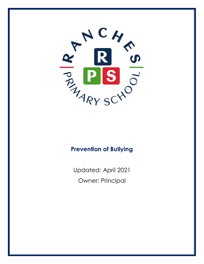

# **Prevention of Bullying**

Updated: April 2021 Owner: Principal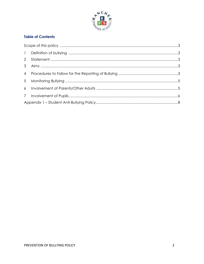

## **Table of Contents**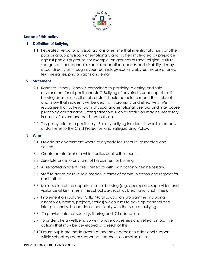

## **Scope of this policy**

## **1 Definition of Bullying**

1.1 Repeated verbal or physical actions over time that intentionally hurts another pupil or group physically or emotionally and is often motivated by prejudice against particular groups, for example, on grounds of race, religion, culture, sex, gender, homophobia, special educational needs and disability. It may occur directly or through cyber-technology (social websites, mobile phones, text messages, photographs and email).

## **2 Statement**

- 2.1 Ranches Primary School is committed to providing a caring and safe environment for all pupils and staff. Bullying of any kind is unacceptable. If bullying does occur, all pupils or staff should be able to report the incident and know that incidents will be dealt with promptly and effectively. We recognize that bullying, both physical and emotional is serious and may cause psychological damage. Strong sanctions such as exclusion may be necessary in cases of severe and persistent bullying.
- 2.2 This policy relates to pupils only. For any bullying incidents towards members of staff refer to the Child Protection and Safeguarding Policy.

## **3 Aims**

- 3.1 Provide an environment where everybody feels secure, respected and valued.
- 3.2 Create an atmosphere which builds pupil self-esteem.
- 3.3 Zero tolerance to any form of harassment or bullying.
- 3.4 All reported incidents are listened to with swift action when necessary.
- 3.5 Staff to act as positive role models in terms of communication and respect for each other.
- 3.6 Minimisation of the opportunities for bullying (e.g. appropriate supervision and vigilance at key times in the school day, such as break and lunchtimes).
- 3.7 Implement a structured PSHE/ Moral Education programme (including assemblies, drama, projects, stories) which aims to develop personal and inter-personal skills and deals specifically with the issue of bullying.
- 3.8 To provide Internet security, filtering and ICT education.
- 3.9 To undertake a wellbeing survey to raise awareness and reflect on positive actions that may be developed as a result of this.
- 3.10Ensure pupils are made aware of and have access to additional support within school, eg peer supporters, teachers, counsellor, nurse.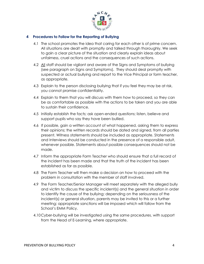

#### **4 Procedures to Follow for the Reporting of Bullying**

- 4.1 The school promotes the idea that caring for each other is of prime concern. All situations are dealt with promptly and talked through thoroughly. We seek to gain a clear picture of the situation and clearly explain ideas about unfairness, cruel actions and the consequences of such actions.
- 4.2 All staff should be vigilant and aware of the Signs and Symptoms of bullying (see paragraph on Signs and Symptoms). They should deal promptly with suspected or actual bullying and report to the Vice Principal or form teacher, as appropriate.
- 4.3 Explain to the person disclosing bullying that if you feel they may be at risk, you cannot promise confidentiality.
- 4.4 Explain to them that you will discuss with them how to proceed, so they can be as comfortable as possible with the actions to be taken and you are able to sustain their confidence.
- 4.5 Initially establish the facts; ask open-ended questions; listen, believe and support pupils who say they have been bullied.
- 4.6 If possible, gain a written account of what happened, asking them to express their opinions; the written records should be dated and signed, from all parties present. Witness statements should be included as appropriate. Statements and Interviews should be conducted in the presence of a responsible adult, whenever possible. Statements about possible consequences should not be made.
- 4.7 Inform the appropriate Form Teacher who should ensure that a full record of the incident has been made and that the truth of the incident has been established as far as possible.
- 4.8 The Form Teacher will then make a decision on how to proceed with the problem in consultation with the member of staff involved.
- 4.9 The Form Teacher/Senior Manager will meet separately with the alleged bully and victim to discuss the specific incident(s) and the general situation in order to identify the cause of the bullying; depending on the seriousness of the incident(s) or general situation, parents may be invited to this or a further meeting; appropriate sanctions will be imposed which will follow from the School's EMM Policy.
- 4.10Cyber-bullying will be investigated using the same procedures, with support from the Head of E-Learning, where appropriate.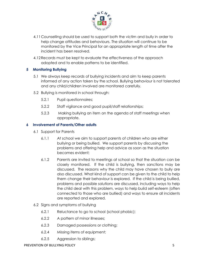

- 4.11Counselling should be used to support both the victim and bully in order to help change attitudes and behaviours. The situation will continue to be monitored by the Vice Principal for an appropriate length of time after the incident has been resolved.
- 4.12Records must be kept to evaluate the effectiveness of the approach adopted and to enable patterns to be identified.

## **5 Monitoring Bullying**

- 5.1 We always keep records of bullying incidents and aim to keep parents informed of any action taken by the school. Bullying behaviour is not tolerated and any child/children involved are monitored carefully.
- 5.2 Bullying is monitored in school through:
	- 5.2.1 Pupil questionnaires;
	- 5.2.2 Staff vigilance and good pupil/staff relationships;
	- 5.2.3 Making bullying an item on the agenda of staff meetings when appropriate.

## **6 Involvement of Parents/Other adults**

- 6.1 Support for Parents
	- 6.1.1 At school we aim to support parents of children who are either bullying or being bullied. We support parents by discussing the problems and offering help and advice as soon as the situation becomes evident;
	- 6.1.2 Parents are invited to meetings at school so that the situation can be closely monitored. If the child is bullying, then sanctions may be discussed. The reasons why the child may have chosen to bully are also discussed. What kind of support can be given to the child to help them change their behaviour is explored. If the child is being bullied, problems and possible solutions are discussed, including ways to help the child deal with this problem, ways to help build self-esteem (often connected to those who are bullied) and ways to ensure all incidents are reported and explored.
- 6.2 Signs and symptoms of bullying
	- 6.2.1 Reluctance to go to school (school phobic);
	- 6.2.2 A pattern of minor illnesses;
	- 6.2.3 Damaged possessions or clothing;
	- 6.2.4 Missing items of equipment;
	- 6.2.5 Aggression to siblings;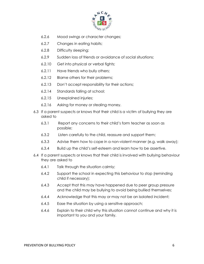

- 6.2.6 Mood swings or character changes;
- 6.2.7 Changes in eating habits;
- 6.2.8 Difficulty sleeping;
- 6.2.9 Sudden loss of friends or avoidance of social situations;
- 6.2.10 Get into physical or verbal fights;
- 6.2.11 Have friends who bully others;
- 6.2.12 Blame others for their problems;
- 6.2.13 Don't accept responsibility for their actions;
- 6.2.14 Standards falling at school;
- 6.2.15 Unexplained injuries;
- 6.2.16 Asking for money or stealing money.
- 6.3 If a parent suspects or knows that their child is a victim of bullying they are asked to
	- 6.3.1 Report any concerns to their child's form teacher as soon as possible;
	- 6.3.2 Listen carefully to the child, reassure and support them;
	- 6.3.3 Advise them how to cope in a non-violent manner (e.g. walk away);
	- 6.3.4 Build up the child's self-esteem and learn how to be assertive.
- 6.4 If a parent suspects or knows that their child is involved with bullying behaviour they are asked to
	- 6.4.1 Talk through the situation calmly;
	- 6.4.2 Support the school in expecting this behaviour to stop (reminding child if necessary);
	- 6.4.3 Accept that this may have happened due to peer group pressure and the child may be bullying to avoid being bullied themselves;
	- 6.4.4 Acknowledge that this may or may not be an isolated incident;
	- 6.4.5 Ease the situation by using a sensitive approach;
	- 6.4.6 Explain to their child why this situation cannot continue and why it is important to you and your family.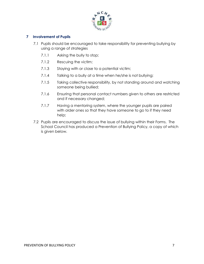

## **7 Involvement of Pupils**

- 7.1 Pupils should be encouraged to take responsibility for preventing bullying by using a range of strategies
	- 7.1.1 Asking the bully to stop;
	- 7.1.2 Rescuing the victim;
	- 7.1.3 Staying with or close to a potential victim;
	- 7.1.4 Talking to a bully at a time when he/she is not bullying;
	- 7.1.5 Taking collective responsibility, by not standing around and watching someone being bullied;
	- 7.1.6 Ensuring that personal contact numbers given to others are restricted and if necessary changed;
	- 7.1.7 Having a mentoring system, where the younger pupils are paired with older ones so that they have someone to go to if they need help;
- 7.2 Pupils are encouraged to discuss the issue of bullying within their Forms. The School Council has produced a Prevention of Bullying Policy, a copy of which is given below.